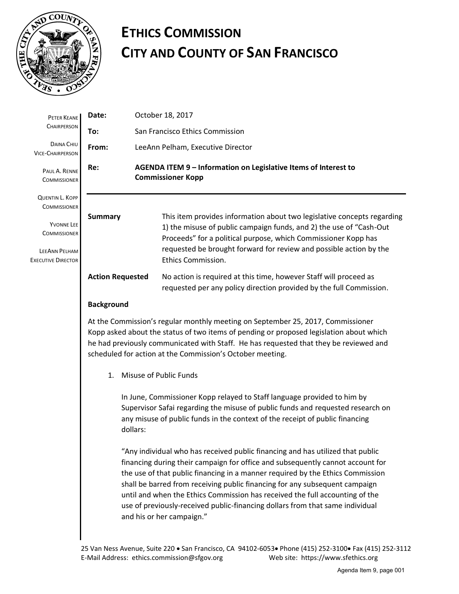

## **ETHICS COMMISSION CITY AND COUNTY OF SAN FRANCISCO**

| PETER KEANE<br>CHAIRPERSON                                                             | Date:                                                                                                                                                                                                                                                                                                                            |                                                                                                                                                                                                                                                        | October 18, 2017                                                                                                                                                                                                                                                                                                                                                                                                                                                                                                                |  |
|----------------------------------------------------------------------------------------|----------------------------------------------------------------------------------------------------------------------------------------------------------------------------------------------------------------------------------------------------------------------------------------------------------------------------------|--------------------------------------------------------------------------------------------------------------------------------------------------------------------------------------------------------------------------------------------------------|---------------------------------------------------------------------------------------------------------------------------------------------------------------------------------------------------------------------------------------------------------------------------------------------------------------------------------------------------------------------------------------------------------------------------------------------------------------------------------------------------------------------------------|--|
|                                                                                        | To:                                                                                                                                                                                                                                                                                                                              |                                                                                                                                                                                                                                                        | San Francisco Ethics Commission                                                                                                                                                                                                                                                                                                                                                                                                                                                                                                 |  |
| DAINA CHIU<br><b>VICE-CHAIRPERSON</b>                                                  | From:                                                                                                                                                                                                                                                                                                                            | LeeAnn Pelham, Executive Director                                                                                                                                                                                                                      |                                                                                                                                                                                                                                                                                                                                                                                                                                                                                                                                 |  |
| PAUL A. RENNE<br><b>COMMISSIONER</b>                                                   | Re:<br>AGENDA ITEM 9 - Information on Legislative Items of Interest to<br><b>Commissioner Kopp</b>                                                                                                                                                                                                                               |                                                                                                                                                                                                                                                        |                                                                                                                                                                                                                                                                                                                                                                                                                                                                                                                                 |  |
| <b>QUENTIN L. KOPP</b><br><b>COMMISSIONER</b>                                          |                                                                                                                                                                                                                                                                                                                                  |                                                                                                                                                                                                                                                        |                                                                                                                                                                                                                                                                                                                                                                                                                                                                                                                                 |  |
| <b>YVONNE LEE</b><br><b>COMMISSIONER</b><br>LEEANN PELHAM<br><b>EXECUTIVE DIRECTOR</b> | <b>Summary</b>                                                                                                                                                                                                                                                                                                                   |                                                                                                                                                                                                                                                        | This item provides information about two legislative concepts regarding<br>1) the misuse of public campaign funds, and 2) the use of "Cash-Out<br>Proceeds" for a political purpose, which Commissioner Kopp has<br>requested be brought forward for review and possible action by the<br><b>Ethics Commission.</b>                                                                                                                                                                                                             |  |
|                                                                                        | <b>Action Requested</b>                                                                                                                                                                                                                                                                                                          |                                                                                                                                                                                                                                                        | No action is required at this time, however Staff will proceed as<br>requested per any policy direction provided by the full Commission.                                                                                                                                                                                                                                                                                                                                                                                        |  |
|                                                                                        | <b>Background</b>                                                                                                                                                                                                                                                                                                                |                                                                                                                                                                                                                                                        |                                                                                                                                                                                                                                                                                                                                                                                                                                                                                                                                 |  |
|                                                                                        | At the Commission's regular monthly meeting on September 25, 2017, Commissioner<br>Kopp asked about the status of two items of pending or proposed legislation about which<br>he had previously communicated with Staff. He has requested that they be reviewed and<br>scheduled for action at the Commission's October meeting. |                                                                                                                                                                                                                                                        |                                                                                                                                                                                                                                                                                                                                                                                                                                                                                                                                 |  |
|                                                                                        | $\mathbf{1}$ .                                                                                                                                                                                                                                                                                                                   | Misuse of Public Funds                                                                                                                                                                                                                                 |                                                                                                                                                                                                                                                                                                                                                                                                                                                                                                                                 |  |
|                                                                                        |                                                                                                                                                                                                                                                                                                                                  | In June, Commissioner Kopp relayed to Staff language provided to him by<br>Supervisor Safai regarding the misuse of public funds and requested research on<br>any misuse of public funds in the context of the receipt of public financing<br>dollars: |                                                                                                                                                                                                                                                                                                                                                                                                                                                                                                                                 |  |
|                                                                                        |                                                                                                                                                                                                                                                                                                                                  |                                                                                                                                                                                                                                                        | "Any individual who has received public financing and has utilized that public<br>financing during their campaign for office and subsequently cannot account for<br>the use of that public financing in a manner required by the Ethics Commission<br>shall be barred from receiving public financing for any subsequent campaign<br>until and when the Ethics Commission has received the full accounting of the<br>use of previously-received public-financing dollars from that same individual<br>and his or her campaign." |  |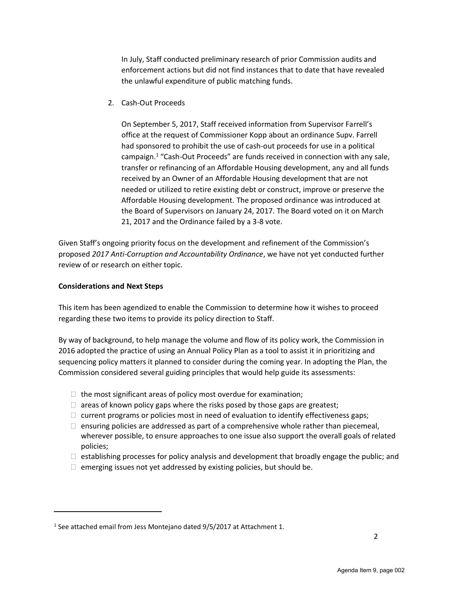In July, Staff conducted preliminary research of prior Commission audits and enforcement actions but did not find instances that to date that have revealed the unlawful expenditure of public matching funds.

2. Cash-Out Proceeds

On September 5, 2017, Staff received information from Supervisor Farrell's office at the request of Commissioner Kopp about an ordinance Supv. Farrell had sponsored to prohibit the use of cash-out proceeds for use in a political campaign.<sup>1</sup> "Cash-Out Proceeds" are funds received in connection with any sale, transfer or refinancing of an Affordable Housing development, any and all funds received by an Owner of an Affordable Housing development that are not needed or utilized to retire existing debt or construct, improve or preserve the Affordable Housing development. The proposed ordinance was introduced at the Board of Supervisors on January 24, 2017. The Board voted on it on March 21, 2017 and the Ordinance failed by a 3-8 vote.

Given Staff's ongoing priority focus on the development and refinement of the Commission's proposed *2017 Anti-Corruption and Accountability Ordinance*, we have not yet conducted further review of or research on either topic.

## **Considerations and Next Steps**

 $\overline{a}$ 

This item has been agendized to enable the Commission to determine how it wishes to proceed regarding these two items to provide its policy direction to Staff.

By way of background, to help manage the volume and flow of its policy work, the Commission in 2016 adopted the practice of using an Annual Policy Plan as a tool to assist it in prioritizing and sequencing policy matters it planned to consider during the coming year. In adopting the Plan, the Commission considered several guiding principles that would help guide its assessments:

- $\Box$  the most significant areas of policy most overdue for examination;
- $\Box$  areas of known policy gaps where the risks posed by those gaps are greatest;
- $\Box$  current programs or policies most in need of evaluation to identify effectiveness gaps;
- $\Box$  ensuring policies are addressed as part of a comprehensive whole rather than piecemeal, wherever possible, to ensure approaches to one issue also support the overall goals of related policies;
- $\Box$  establishing processes for policy analysis and development that broadly engage the public; and
- $\Box$  emerging issues not yet addressed by existing policies, but should be.

<sup>&</sup>lt;sup>1</sup> See attached email from Jess Montejano dated 9/5/2017 at Attachment 1.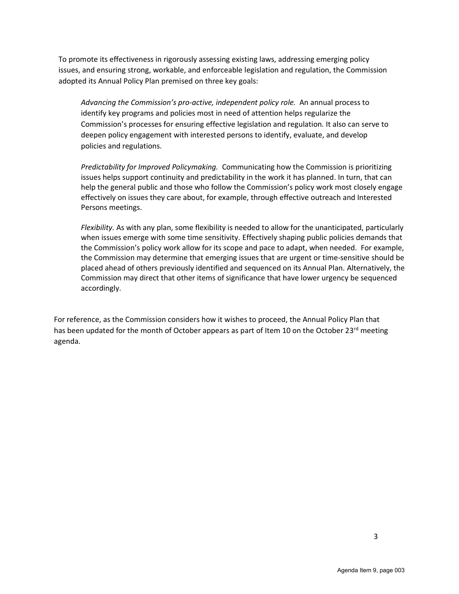To promote its effectiveness in rigorously assessing existing laws, addressing emerging policy issues, and ensuring strong, workable, and enforceable legislation and regulation, the Commission adopted its Annual Policy Plan premised on three key goals:

*Advancing the Commission's pro-active, independent policy role.* An annual process to identify key programs and policies most in need of attention helps regularize the Commission's processes for ensuring effective legislation and regulation*.* It also can serve to deepen policy engagement with interested persons to identify, evaluate, and develop policies and regulations.

*Predictability for Improved Policymaking.* Communicating how the Commission is prioritizing issues helps support continuity and predictability in the work it has planned. In turn, that can help the general public and those who follow the Commission's policy work most closely engage effectively on issues they care about, for example, through effective outreach and Interested Persons meetings.

*Flexibility.* As with any plan, some flexibility is needed to allow for the unanticipated, particularly when issues emerge with some time sensitivity. Effectively shaping public policies demands that the Commission's policy work allow for its scope and pace to adapt, when needed. For example, the Commission may determine that emerging issues that are urgent or time-sensitive should be placed ahead of others previously identified and sequenced on its Annual Plan. Alternatively, the Commission may direct that other items of significance that have lower urgency be sequenced accordingly.

For reference, as the Commission considers how it wishes to proceed, the Annual Policy Plan that has been updated for the month of October appears as part of Item 10 on the October 23<sup>rd</sup> meeting agenda.